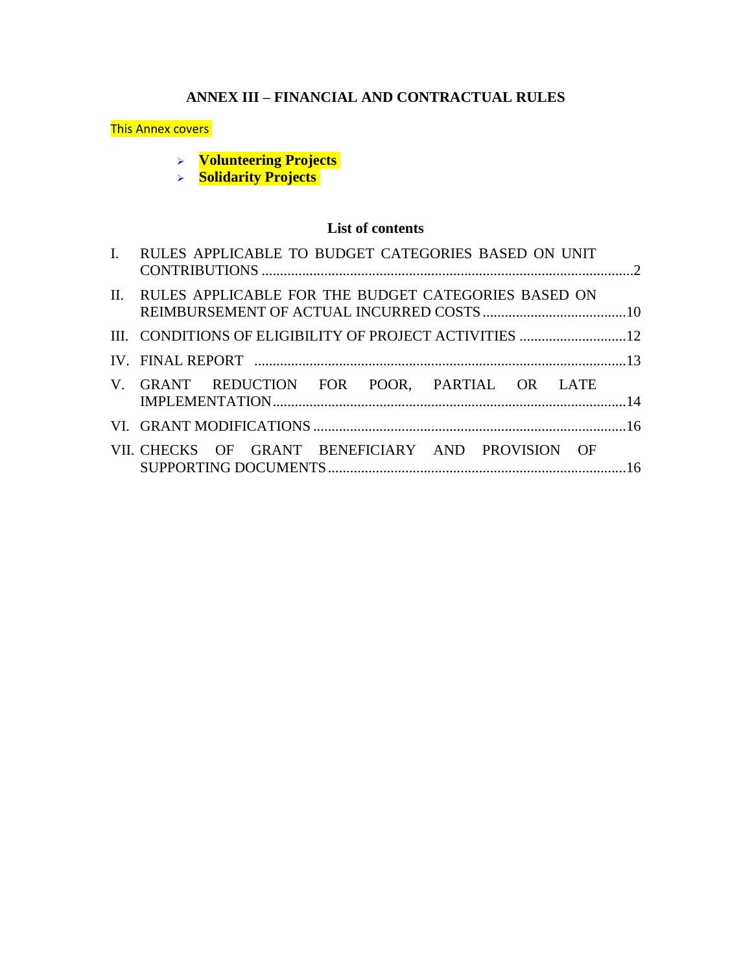# **ANNEX III – FINANCIAL AND CONTRACTUAL RULES**

#### This Annex covers

- ➢ **Volunteering Projects**
- ➢ **Solidarity Projects**

# **List of contents**

<span id="page-0-0"></span>

| I. RULES APPLICABLE TO BUDGET CATEGORIES BASED ON UNIT  |  |
|---------------------------------------------------------|--|
| II. RULES APPLICABLE FOR THE BUDGET CATEGORIES BASED ON |  |
|                                                         |  |
|                                                         |  |
| V. GRANT REDUCTION FOR POOR, PARTIAL OR LATE            |  |
|                                                         |  |
| VII. CHECKS OF GRANT BENEFICIARY AND PROVISION OF       |  |
|                                                         |  |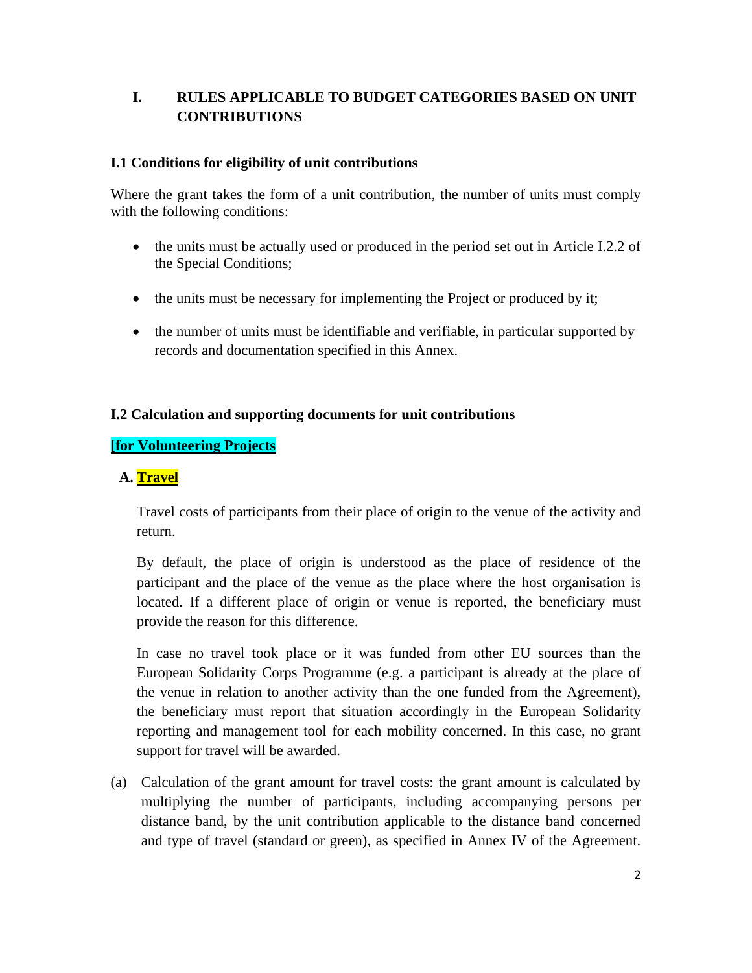## **I. RULES APPLICABLE TO BUDGET CATEGORIES BASED ON UNIT CONTRIBUTIONS**

## **I.1 Conditions for eligibility of unit contributions**

Where the grant takes the form of a unit contribution, the number of units must comply with the following conditions:

- the units must be actually used or produced in the period set out in Article I.2.2 of the Special Conditions;
- the units must be necessary for implementing the Project or produced by it;
- the number of units must be identifiable and verifiable, in particular supported by records and documentation specified in this Annex.

## **I.2 Calculation and supporting documents for unit contributions**

## **[for Volunteering Projects**

## **A. Travel**

Travel costs of participants from their place of origin to the venue of the activity and return.

By default, the place of origin is understood as the place of residence of the participant and the place of the venue as the place where the host organisation is located. If a different place of origin or venue is reported, the beneficiary must provide the reason for this difference.

In case no travel took place or it was funded from other EU sources than the European Solidarity Corps Programme (e.g. a participant is already at the place of the venue in relation to another activity than the one funded from the Agreement), the beneficiary must report that situation accordingly in the European Solidarity reporting and management tool for each mobility concerned. In this case, no grant support for travel will be awarded.

(a) Calculation of the grant amount for travel costs: the grant amount is calculated by multiplying the number of participants, including accompanying persons per distance band, by the unit contribution applicable to the distance band concerned and type of travel (standard or green), as specified in Annex IV of the Agreement.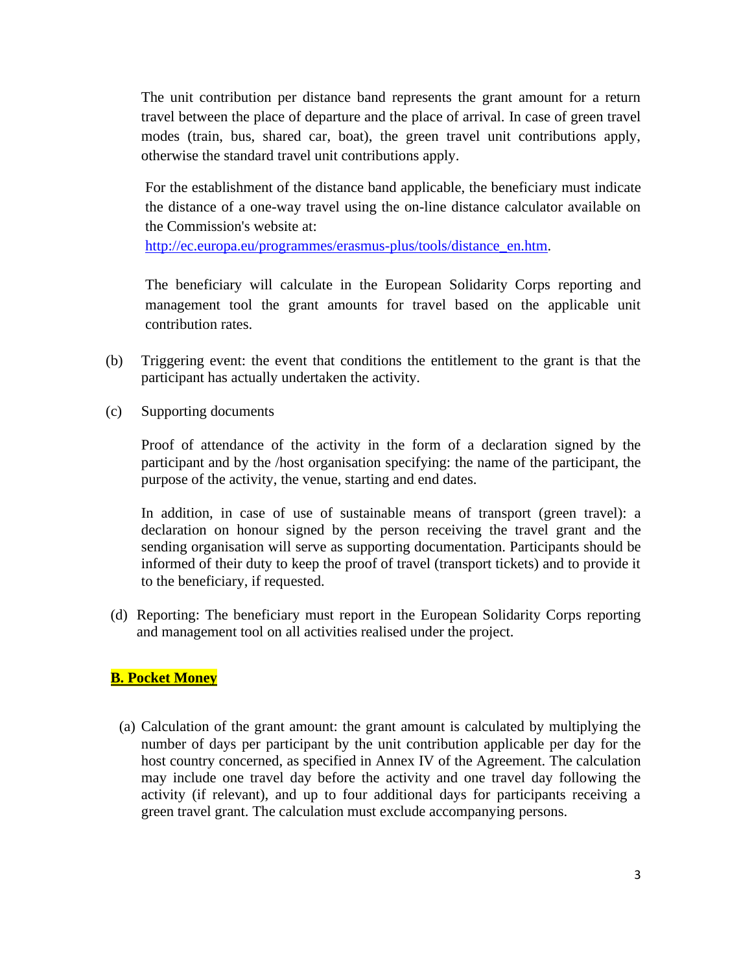The unit contribution per distance band represents the grant amount for a return travel between the place of departure and the place of arrival. In case of green travel modes (train, bus, shared car, boat), the green travel unit contributions apply, otherwise the standard travel unit contributions apply.

For the establishment of the distance band applicable, the beneficiary must indicate the distance of a one-way travel using the on-line distance calculator available on the Commission's website at:

[http://ec.europa.eu/programmes/erasmus-plus/tools/distance\\_en.htm.](http://ec.europa.eu/programmes/erasmus-plus/tools/distance_en.htm)

The beneficiary will calculate in the European Solidarity Corps reporting and management tool the grant amounts for travel based on the applicable unit contribution rates.

- (b) Triggering event: the event that conditions the entitlement to the grant is that the participant has actually undertaken the activity.
- (c) Supporting documents

Proof of attendance of the activity in the form of a declaration signed by the participant and by the /host organisation specifying: the name of the participant, the purpose of the activity, the venue, starting and end dates.

In addition, in case of use of sustainable means of transport (green travel): a declaration on honour signed by the person receiving the travel grant and the sending organisation will serve as supporting documentation. Participants should be informed of their duty to keep the proof of travel (transport tickets) and to provide it to the beneficiary, if requested.

(d) Reporting: The beneficiary must report in the European Solidarity Corps reporting and management tool on all activities realised under the project.

## **B. Pocket Money**

(a) Calculation of the grant amount: the grant amount is calculated by multiplying the number of days per participant by the unit contribution applicable per day for the host country concerned, as specified in Annex IV of the Agreement. The calculation may include one travel day before the activity and one travel day following the activity (if relevant), and up to four additional days for participants receiving a green travel grant. The calculation must exclude accompanying persons.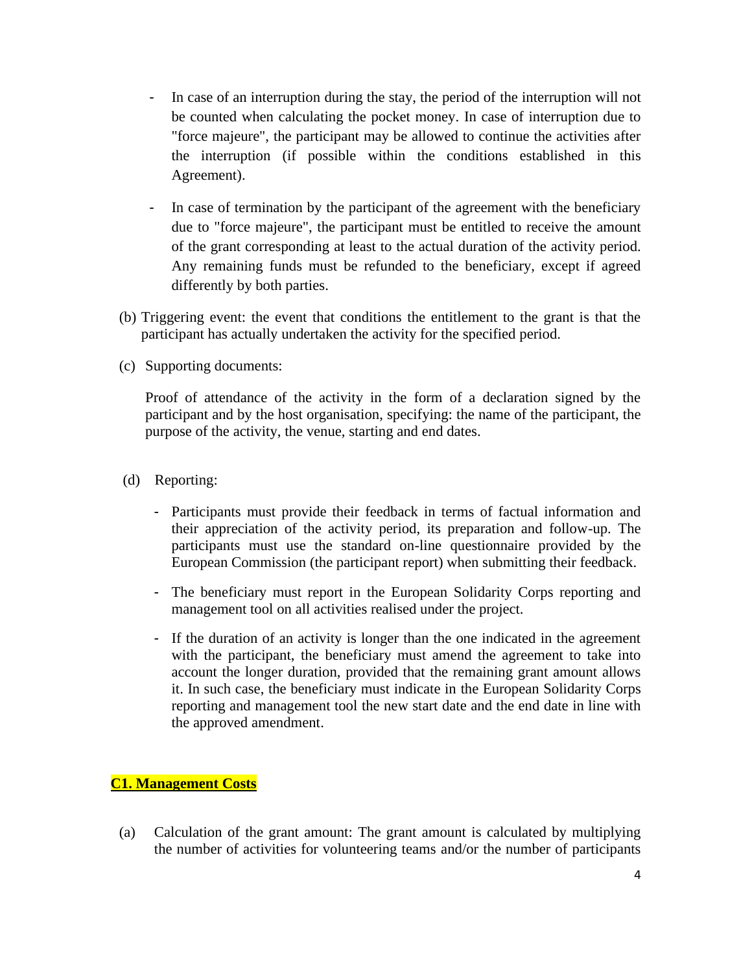- In case of an interruption during the stay, the period of the interruption will not be counted when calculating the pocket money. In case of interruption due to "force majeure", the participant may be allowed to continue the activities after the interruption (if possible within the conditions established in this Agreement).
- In case of termination by the participant of the agreement with the beneficiary due to "force majeure", the participant must be entitled to receive the amount of the grant corresponding at least to the actual duration of the activity period. Any remaining funds must be refunded to the beneficiary, except if agreed differently by both parties.
- (b) Triggering event: the event that conditions the entitlement to the grant is that the participant has actually undertaken the activity for the specified period.
- (c) Supporting documents:

Proof of attendance of the activity in the form of a declaration signed by the participant and by the host organisation, specifying: the name of the participant, the purpose of the activity, the venue, starting and end dates.

- (d) Reporting:
	- Participants must provide their feedback in terms of factual information and their appreciation of the activity period, its preparation and follow-up. The participants must use the standard on-line questionnaire provided by the European Commission (the participant report) when submitting their feedback.
	- The beneficiary must report in the European Solidarity Corps reporting and management tool on all activities realised under the project.
	- If the duration of an activity is longer than the one indicated in the agreement with the participant, the beneficiary must amend the agreement to take into account the longer duration, provided that the remaining grant amount allows it. In such case, the beneficiary must indicate in the European Solidarity Corps reporting and management tool the new start date and the end date in line with the approved amendment.

## **C1. Management Costs**

(a) Calculation of the grant amount: The grant amount is calculated by multiplying the number of activities for volunteering teams and/or the number of participants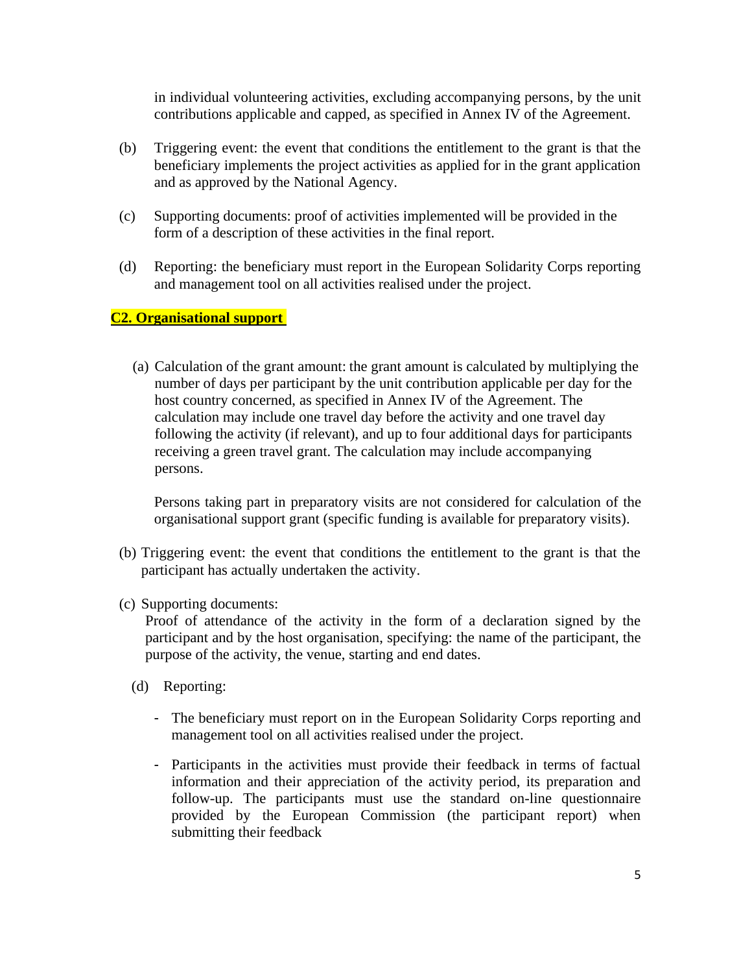in individual volunteering activities, excluding accompanying persons, by the unit contributions applicable and capped, as specified in Annex IV of the Agreement.

- (b) Triggering event: the event that conditions the entitlement to the grant is that the beneficiary implements the project activities as applied for in the grant application and as approved by the National Agency.
- (c) Supporting documents: proof of activities implemented will be provided in the form of a description of these activities in the final report.
- (d) Reporting: the beneficiary must report in the European Solidarity Corps reporting and management tool on all activities realised under the project.

#### **C2. Organisational support**

(a) Calculation of the grant amount: the grant amount is calculated by multiplying the number of days per participant by the unit contribution applicable per day for the host country concerned, as specified in Annex IV of the Agreement. The calculation may include one travel day before the activity and one travel day following the activity (if relevant), and up to four additional days for participants receiving a green travel grant. The calculation may include accompanying persons.

Persons taking part in preparatory visits are not considered for calculation of the organisational support grant (specific funding is available for preparatory visits).

- (b) Triggering event: the event that conditions the entitlement to the grant is that the participant has actually undertaken the activity.
- (c) Supporting documents:

Proof of attendance of the activity in the form of a declaration signed by the participant and by the host organisation, specifying: the name of the participant, the purpose of the activity, the venue, starting and end dates.

- (d) Reporting:
	- The beneficiary must report on in the European Solidarity Corps reporting and management tool on all activities realised under the project.
	- Participants in the activities must provide their feedback in terms of factual information and their appreciation of the activity period, its preparation and follow-up. The participants must use the standard on-line questionnaire provided by the European Commission (the participant report) when submitting their feedback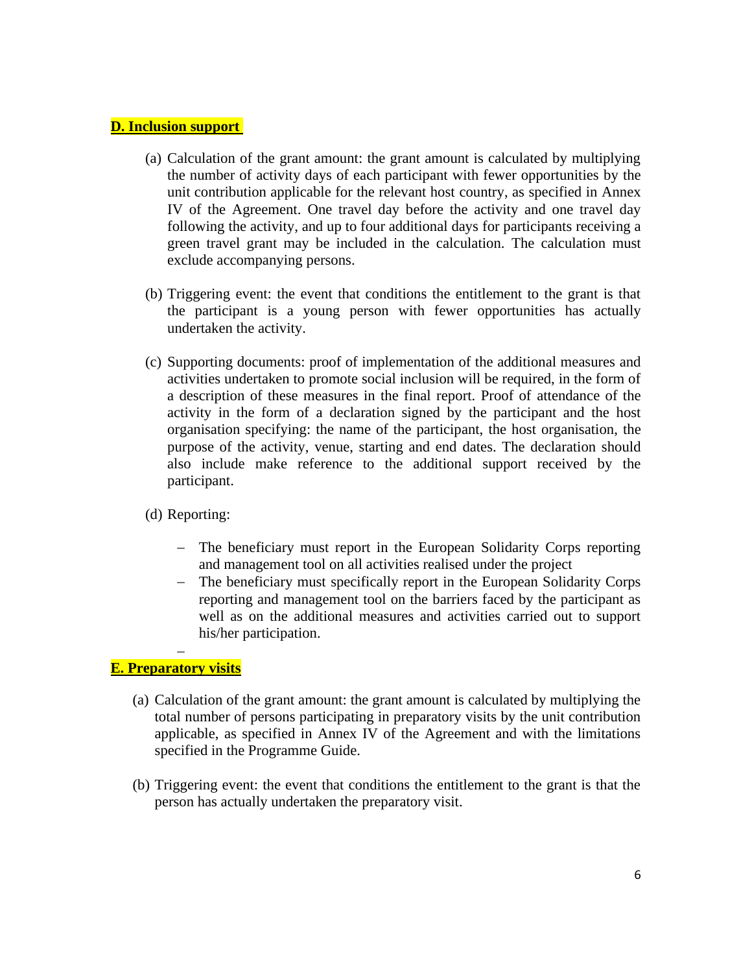#### **D. Inclusion support**

- (a) Calculation of the grant amount: the grant amount is calculated by multiplying the number of activity days of each participant with fewer opportunities by the unit contribution applicable for the relevant host country, as specified in Annex IV of the Agreement. One travel day before the activity and one travel day following the activity, and up to four additional days for participants receiving a green travel grant may be included in the calculation. The calculation must exclude accompanying persons.
- (b) Triggering event: the event that conditions the entitlement to the grant is that the participant is a young person with fewer opportunities has actually undertaken the activity.
- (c) Supporting documents: proof of implementation of the additional measures and activities undertaken to promote social inclusion will be required, in the form of a description of these measures in the final report. Proof of attendance of the activity in the form of a declaration signed by the participant and the host organisation specifying: the name of the participant, the host organisation, the purpose of the activity, venue, starting and end dates. The declaration should also include make reference to the additional support received by the participant.
- (d) Reporting:
	- − The beneficiary must report in the European Solidarity Corps reporting and management tool on all activities realised under the project
	- − The beneficiary must specifically report in the European Solidarity Corps reporting and management tool on the barriers faced by the participant as well as on the additional measures and activities carried out to support his/her participation.

#### − **E. Preparatory visits**

- (a) Calculation of the grant amount: the grant amount is calculated by multiplying the total number of persons participating in preparatory visits by the unit contribution applicable, as specified in Annex IV of the Agreement and with the limitations specified in the Programme Guide.
- (b) Triggering event: the event that conditions the entitlement to the grant is that the person has actually undertaken the preparatory visit.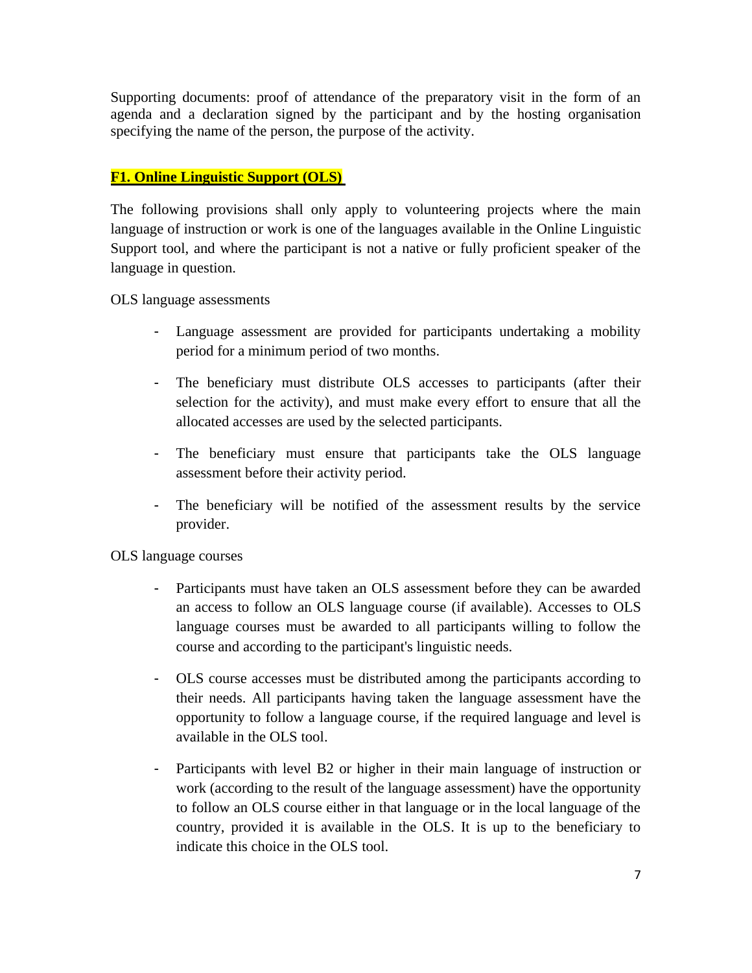Supporting documents: proof of attendance of the preparatory visit in the form of an agenda and a declaration signed by the participant and by the hosting organisation specifying the name of the person, the purpose of the activity.

## **F1. Online Linguistic Support (OLS)**

The following provisions shall only apply to volunteering projects where the main language of instruction or work is one of the languages available in the Online Linguistic Support tool, and where the participant is not a native or fully proficient speaker of the language in question.

OLS language assessments

- Language assessment are provided for participants undertaking a mobility period for a minimum period of two months.
- The beneficiary must distribute OLS accesses to participants (after their selection for the activity), and must make every effort to ensure that all the allocated accesses are used by the selected participants.
- The beneficiary must ensure that participants take the OLS language assessment before their activity period.
- The beneficiary will be notified of the assessment results by the service provider.

OLS language courses

- Participants must have taken an OLS assessment before they can be awarded an access to follow an OLS language course (if available). Accesses to OLS language courses must be awarded to all participants willing to follow the course and according to the participant's linguistic needs.
- OLS course accesses must be distributed among the participants according to their needs. All participants having taken the language assessment have the opportunity to follow a language course, if the required language and level is available in the OLS tool.
- Participants with level B2 or higher in their main language of instruction or work (according to the result of the language assessment) have the opportunity to follow an OLS course either in that language or in the local language of the country, provided it is available in the OLS. It is up to the beneficiary to indicate this choice in the OLS tool.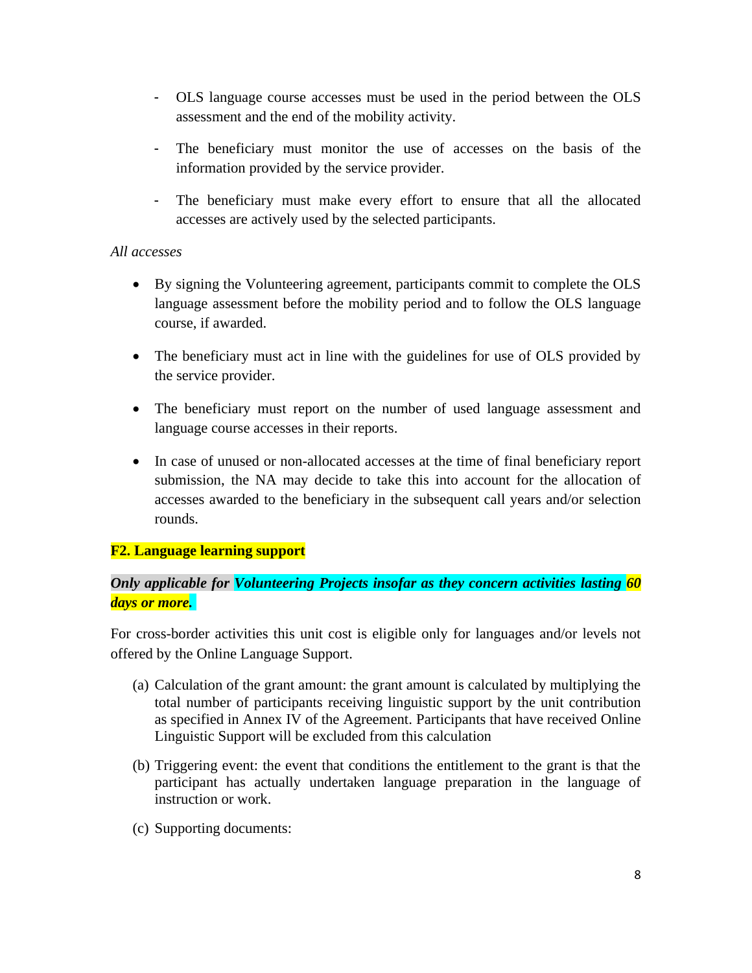- OLS language course accesses must be used in the period between the OLS assessment and the end of the mobility activity.
- The beneficiary must monitor the use of accesses on the basis of the information provided by the service provider.
- The beneficiary must make every effort to ensure that all the allocated accesses are actively used by the selected participants.

## *All accesses*

- By signing the Volunteering agreement, participants commit to complete the OLS language assessment before the mobility period and to follow the OLS language course, if awarded.
- The beneficiary must act in line with the guidelines for use of OLS provided by the service provider.
- The beneficiary must report on the number of used language assessment and language course accesses in their reports.
- In case of unused or non-allocated accesses at the time of final beneficiary report submission, the NA may decide to take this into account for the allocation of accesses awarded to the beneficiary in the subsequent call years and/or selection rounds.

## **F2. Language learning support**

## *Only applicable for Volunteering Projects insofar as they concern activities lasting 60 days or more.*

For cross-border activities this unit cost is eligible only for languages and/or levels not offered by the Online Language Support.

- (a) Calculation of the grant amount: the grant amount is calculated by multiplying the total number of participants receiving linguistic support by the unit contribution as specified in Annex IV of the Agreement. Participants that have received Online Linguistic Support will be excluded from this calculation
- (b) Triggering event: the event that conditions the entitlement to the grant is that the participant has actually undertaken language preparation in the language of instruction or work.
- (c) Supporting documents: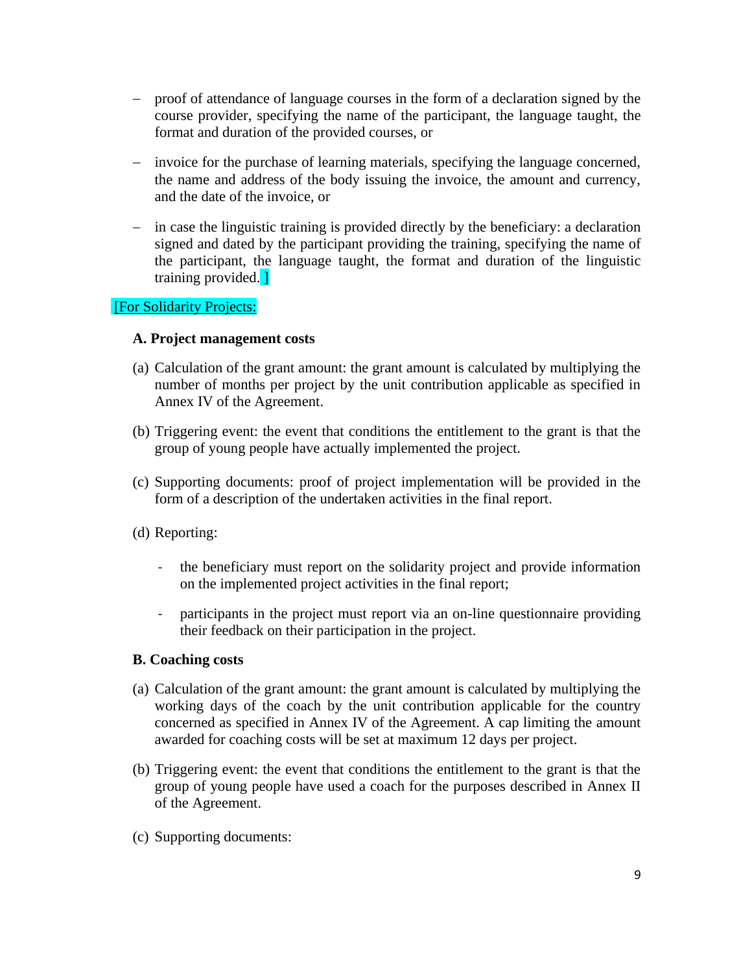- − proof of attendance of language courses in the form of a declaration signed by the course provider, specifying the name of the participant, the language taught, the format and duration of the provided courses, or
- − invoice for the purchase of learning materials, specifying the language concerned, the name and address of the body issuing the invoice, the amount and currency, and the date of the invoice, or
- − in case the linguistic training is provided directly by the beneficiary: a declaration signed and dated by the participant providing the training, specifying the name of the participant, the language taught, the format and duration of the linguistic training provided. ]

#### [For Solidarity Projects:

#### **A. Project management costs**

- (a) Calculation of the grant amount: the grant amount is calculated by multiplying the number of months per project by the unit contribution applicable as specified in Annex IV of the Agreement.
- (b) Triggering event: the event that conditions the entitlement to the grant is that the group of young people have actually implemented the project.
- (c) Supporting documents: proof of project implementation will be provided in the form of a description of the undertaken activities in the final report.
- (d) Reporting:
	- the beneficiary must report on the solidarity project and provide information on the implemented project activities in the final report;
	- participants in the project must report via an on-line questionnaire providing their feedback on their participation in the project.

#### **B. Coaching costs**

- (a) Calculation of the grant amount: the grant amount is calculated by multiplying the working days of the coach by the unit contribution applicable for the country concerned as specified in Annex IV of the Agreement. A cap limiting the amount awarded for coaching costs will be set at maximum 12 days per project.
- (b) Triggering event: the event that conditions the entitlement to the grant is that the group of young people have used a coach for the purposes described in Annex II of the Agreement.
- (c) Supporting documents: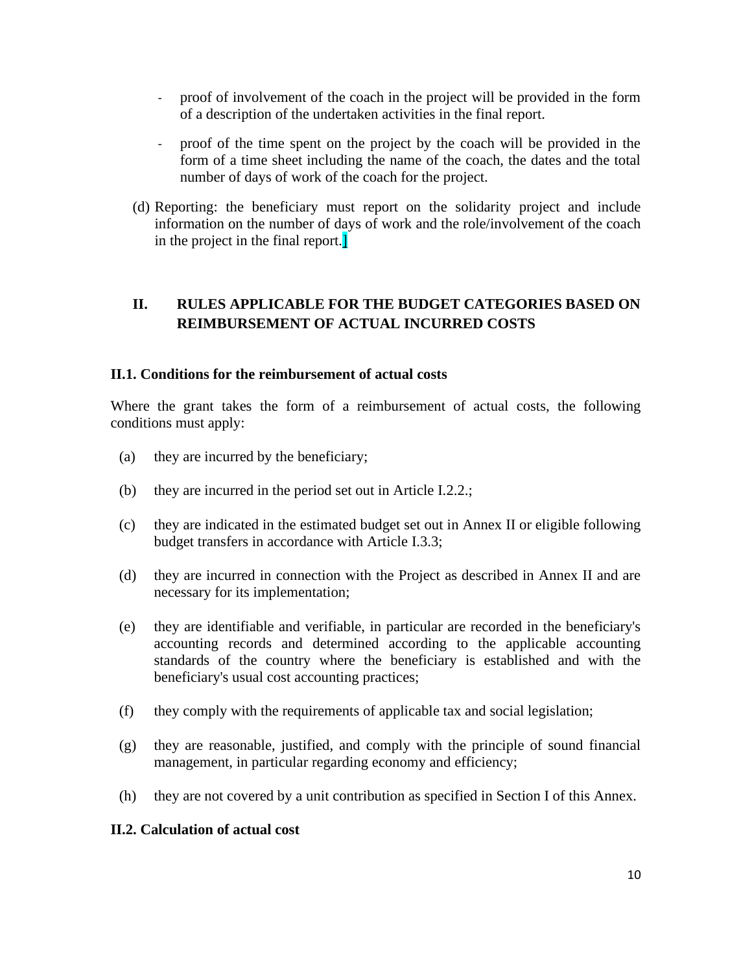- proof of involvement of the coach in the project will be provided in the form of a description of the undertaken activities in the final report.
- proof of the time spent on the project by the coach will be provided in the form of a time sheet including the name of the coach, the dates and the total number of days of work of the coach for the project.
- (d) Reporting: the beneficiary must report on the solidarity project and include information on the number of days of work and the role/involvement of the coach in the project in the final report.]

## <span id="page-9-0"></span>**II. RULES APPLICABLE FOR THE BUDGET CATEGORIES BASED ON REIMBURSEMENT OF ACTUAL INCURRED COSTS**

#### **II.1. Conditions for the reimbursement of actual costs**

Where the grant takes the form of a reimbursement of actual costs, the following conditions must apply:

- (a) they are incurred by the beneficiary;
- (b) they are incurred in the period set out in Article I.2.2.;
- (c) they are indicated in the estimated budget set out in Annex II or eligible following budget transfers in accordance with Article I.3.3;
- (d) they are incurred in connection with the Project as described in Annex II and are necessary for its implementation;
- (e) they are identifiable and verifiable, in particular are recorded in the beneficiary's accounting records and determined according to the applicable accounting standards of the country where the beneficiary is established and with the beneficiary's usual cost accounting practices;
- (f) they comply with the requirements of applicable tax and social legislation;
- (g) they are reasonable, justified, and comply with the principle of sound financial management, in particular regarding economy and efficiency;
- (h) they are not covered by a unit contribution as specified in Section I of this Annex.

#### **II.2. Calculation of actual cost**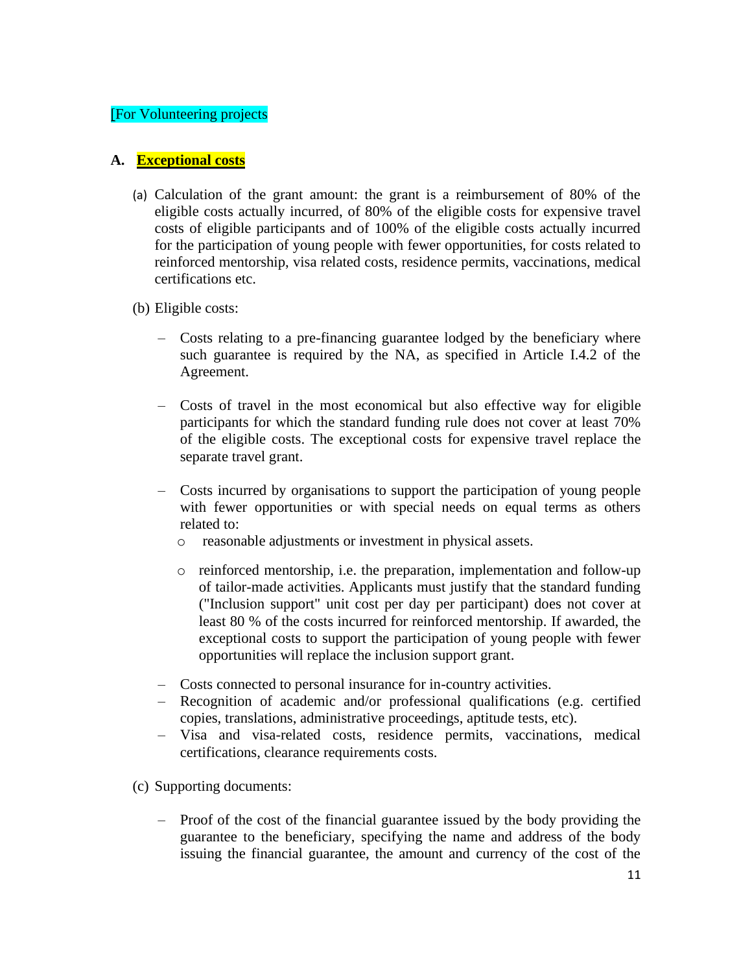#### [For Volunteering projects

#### **A. Exceptional costs**

- (a) Calculation of the grant amount: the grant is a reimbursement of 80% of the eligible costs actually incurred, of 80% of the eligible costs for expensive travel costs of eligible participants and of 100% of the eligible costs actually incurred for the participation of young people with fewer opportunities, for costs related to reinforced mentorship, visa related costs, residence permits, vaccinations, medical certifications etc.
- (b) Eligible costs:
	- Costs relating to a pre-financing guarantee lodged by the beneficiary where such guarantee is required by the NA, as specified in Article I.4.2 of the Agreement.
	- Costs of travel in the most economical but also effective way for eligible participants for which the standard funding rule does not cover at least 70% of the eligible costs. The exceptional costs for expensive travel replace the separate travel grant.
	- Costs incurred by organisations to support the participation of young people with fewer opportunities or with special needs on equal terms as others related to:
		- o reasonable adjustments or investment in physical assets.
		- o reinforced mentorship, i.e. the preparation, implementation and follow-up of tailor-made activities. Applicants must justify that the standard funding ("Inclusion support" unit cost per day per participant) does not cover at least 80 % of the costs incurred for reinforced mentorship. If awarded, the exceptional costs to support the participation of young people with fewer opportunities will replace the inclusion support grant.
	- Costs connected to personal insurance for in-country activities.
	- Recognition of academic and/or professional qualifications (e.g. certified copies, translations, administrative proceedings, aptitude tests, etc).
	- Visa and visa-related costs, residence permits, vaccinations, medical certifications, clearance requirements costs.

(c) Supporting documents:

– Proof of the cost of the financial guarantee issued by the body providing the guarantee to the beneficiary, specifying the name and address of the body issuing the financial guarantee, the amount and currency of the cost of the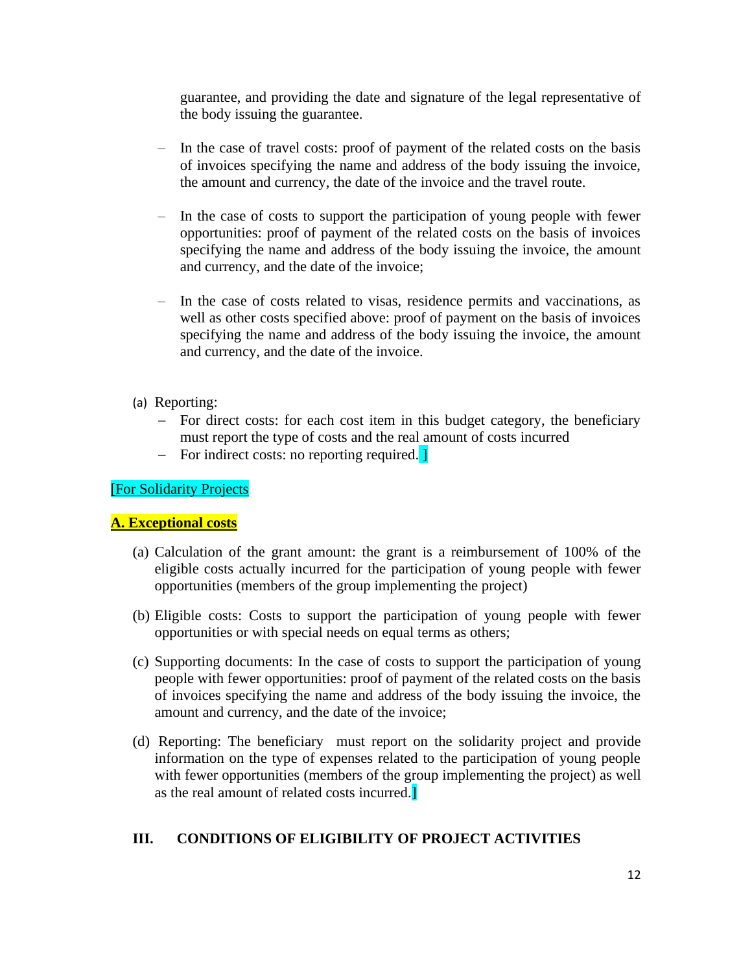guarantee, and providing the date and signature of the legal representative of the body issuing the guarantee.

- In the case of travel costs: proof of payment of the related costs on the basis of invoices specifying the name and address of the body issuing the invoice, the amount and currency, the date of the invoice and the travel route.
- In the case of costs to support the participation of young people with fewer opportunities: proof of payment of the related costs on the basis of invoices specifying the name and address of the body issuing the invoice, the amount and currency, and the date of the invoice;
- In the case of costs related to visas, residence permits and vaccinations, as well as other costs specified above: proof of payment on the basis of invoices specifying the name and address of the body issuing the invoice, the amount and currency, and the date of the invoice.
- (a) Reporting:
	- − For direct costs: for each cost item in this budget category, the beneficiary must report the type of costs and the real amount of costs incurred
	- − For indirect costs: no reporting required. ]

[For Solidarity Projects

#### **A. Exceptional costs**

- (a) Calculation of the grant amount: the grant is a reimbursement of 100% of the eligible costs actually incurred for the participation of young people with fewer opportunities (members of the group implementing the project)
- (b) Eligible costs: Costs to support the participation of young people with fewer opportunities or with special needs on equal terms as others;
- (c) Supporting documents: In the case of costs to support the participation of young people with fewer opportunities: proof of payment of the related costs on the basis of invoices specifying the name and address of the body issuing the invoice, the amount and currency, and the date of the invoice;
- (d) Reporting: The beneficiary must report on the solidarity project and provide information on the type of expenses related to the participation of young people with fewer opportunities (members of the group implementing the project) as well as the real amount of related costs incurred.]

## <span id="page-11-0"></span>**III. CONDITIONS OF ELIGIBILITY OF PROJECT ACTIVITIES**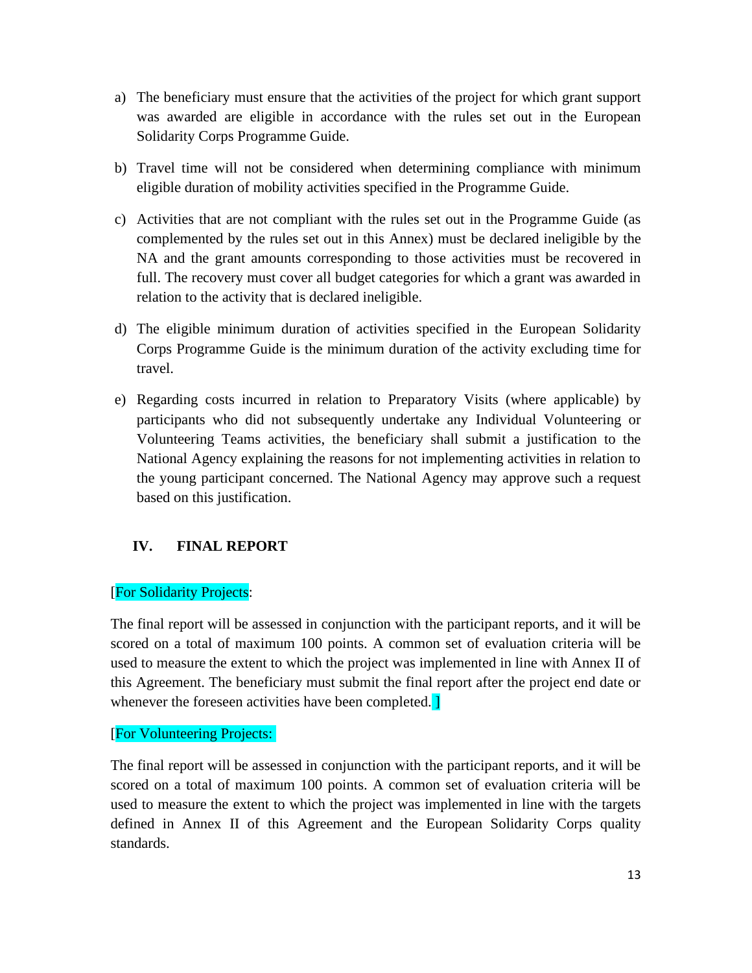- a) The beneficiary must ensure that the activities of the project for which grant support was awarded are eligible in accordance with the rules set out in the European Solidarity Corps Programme Guide.
- b) Travel time will not be considered when determining compliance with minimum eligible duration of mobility activities specified in the Programme Guide.
- c) Activities that are not compliant with the rules set out in the Programme Guide (as complemented by the rules set out in this Annex) must be declared ineligible by the NA and the grant amounts corresponding to those activities must be recovered in full. The recovery must cover all budget categories for which a grant was awarded in relation to the activity that is declared ineligible.
- d) The eligible minimum duration of activities specified in the European Solidarity Corps Programme Guide is the minimum duration of the activity excluding time for travel.
- e) Regarding costs incurred in relation to Preparatory Visits (where applicable) by participants who did not subsequently undertake any Individual Volunteering or Volunteering Teams activities, the beneficiary shall submit a justification to the National Agency explaining the reasons for not implementing activities in relation to the young participant concerned. The National Agency may approve such a request based on this justification.

## <span id="page-12-0"></span>**IV. FINAL REPORT**

## [For Solidarity Projects:

The final report will be assessed in conjunction with the participant reports, and it will be scored on a total of maximum 100 points. A common set of evaluation criteria will be used to measure the extent to which the project was implemented in line with Annex II of this Agreement. The beneficiary must submit the final report after the project end date or whenever the foreseen activities have been completed.

#### [For Volunteering Projects:

The final report will be assessed in conjunction with the participant reports, and it will be scored on a total of maximum 100 points. A common set of evaluation criteria will be used to measure the extent to which the project was implemented in line with the targets defined in Annex II of this Agreement and the European Solidarity Corps quality standards.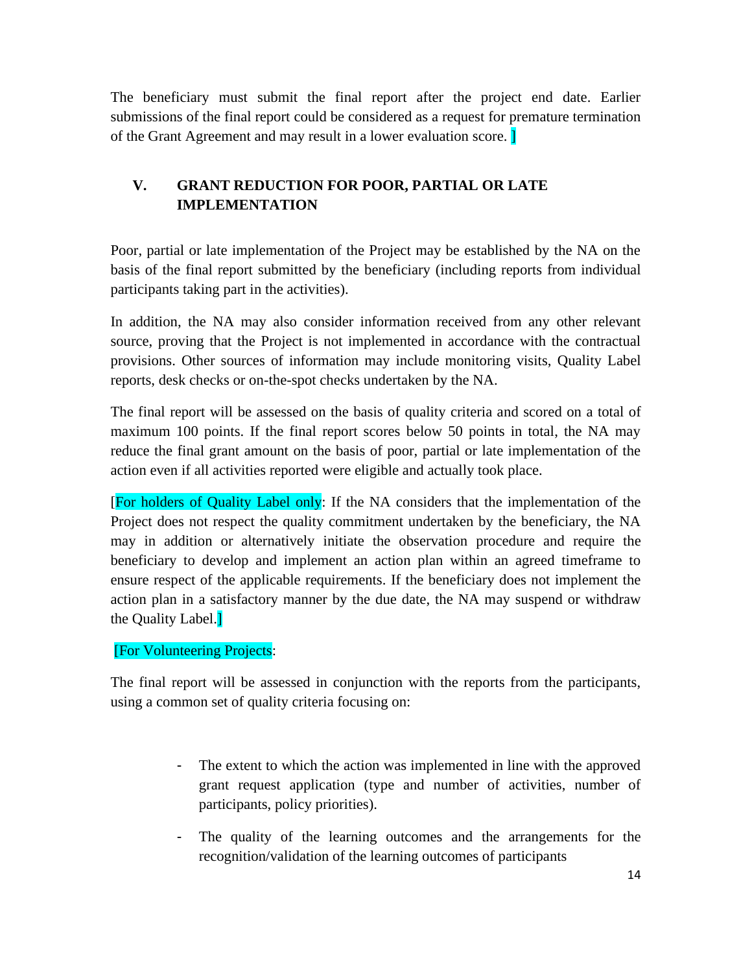The beneficiary must submit the final report after the project end date. Earlier submissions of the final report could be considered as a request for premature termination of the Grant Agreement and may result in a lower evaluation score. ]

# <span id="page-13-0"></span>**V. GRANT REDUCTION FOR POOR, PARTIAL OR LATE IMPLEMENTATION**

Poor, partial or late implementation of the Project may be established by the NA on the basis of the final report submitted by the beneficiary (including reports from individual participants taking part in the activities).

In addition, the NA may also consider information received from any other relevant source, proving that the Project is not implemented in accordance with the contractual provisions. Other sources of information may include monitoring visits, Quality Label reports, desk checks or on-the-spot checks undertaken by the NA.

The final report will be assessed on the basis of quality criteria and scored on a total of maximum 100 points. If the final report scores below 50 points in total, the NA may reduce the final grant amount on the basis of poor, partial or late implementation of the action even if all activities reported were eligible and actually took place.

[For holders of Quality Label only: If the NA considers that the implementation of the Project does not respect the quality commitment undertaken by the beneficiary, the NA may in addition or alternatively initiate the observation procedure and require the beneficiary to develop and implement an action plan within an agreed timeframe to ensure respect of the applicable requirements. If the beneficiary does not implement the action plan in a satisfactory manner by the due date, the NA may suspend or withdraw the Quality Label.]

## [For Volunteering Projects:

The final report will be assessed in conjunction with the reports from the participants, using a common set of quality criteria focusing on:

- The extent to which the action was implemented in line with the approved grant request application (type and number of activities, number of participants, policy priorities).
- The quality of the learning outcomes and the arrangements for the recognition/validation of the learning outcomes of participants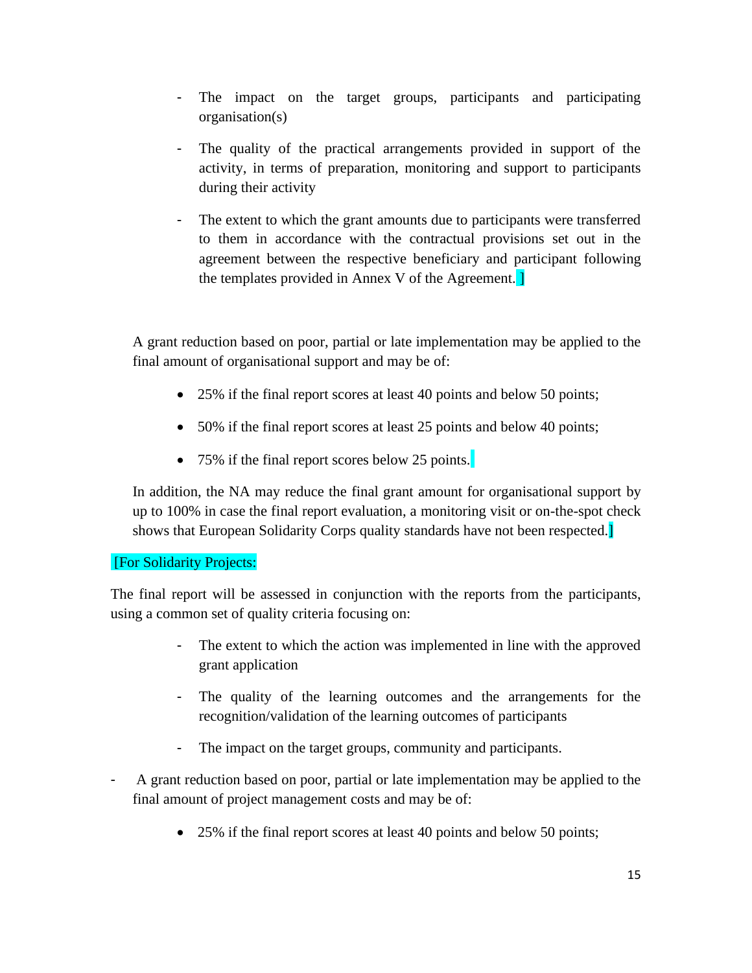- The impact on the target groups, participants and participating organisation(s)
- The quality of the practical arrangements provided in support of the activity, in terms of preparation, monitoring and support to participants during their activity
- The extent to which the grant amounts due to participants were transferred to them in accordance with the contractual provisions set out in the agreement between the respective beneficiary and participant following the templates provided in Annex V of the Agreement. ]

A grant reduction based on poor, partial or late implementation may be applied to the final amount of organisational support and may be of:

- 25% if the final report scores at least 40 points and below 50 points;
- 50% if the final report scores at least 25 points and below 40 points;
- 75% if the final report scores below 25 points.

In addition, the NA may reduce the final grant amount for organisational support by up to 100% in case the final report evaluation, a monitoring visit or on-the-spot check shows that European Solidarity Corps quality standards have not been respected.

## [For Solidarity Projects:

The final report will be assessed in conjunction with the reports from the participants, using a common set of quality criteria focusing on:

- The extent to which the action was implemented in line with the approved grant application
- The quality of the learning outcomes and the arrangements for the recognition/validation of the learning outcomes of participants
- The impact on the target groups, community and participants.
- A grant reduction based on poor, partial or late implementation may be applied to the final amount of project management costs and may be of:
	- 25% if the final report scores at least 40 points and below 50 points;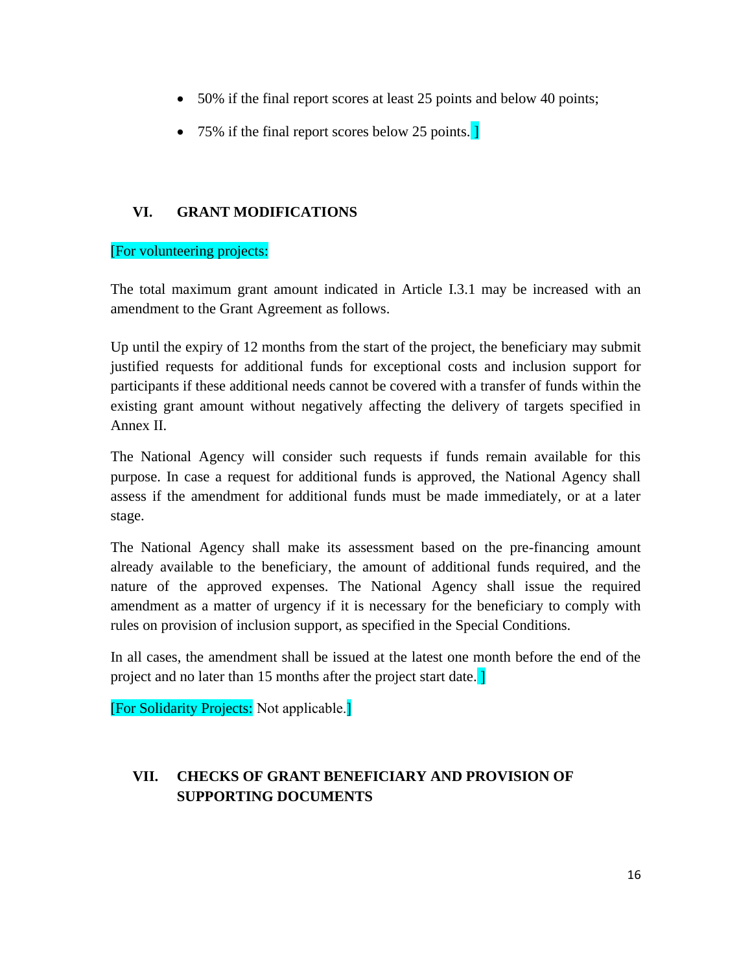- 50% if the final report scores at least 25 points and below 40 points;
- 75% if the final report scores below 25 points.

## <span id="page-15-0"></span>**VI. GRANT MODIFICATIONS**

## [For volunteering projects:

The total maximum grant amount indicated in Article I.3.1 may be increased with an amendment to the Grant Agreement as follows.

Up until the expiry of 12 months from the start of the project, the beneficiary may submit justified requests for additional funds for exceptional costs and inclusion support for participants if these additional needs cannot be covered with a transfer of funds within the existing grant amount without negatively affecting the delivery of targets specified in Annex II.

The National Agency will consider such requests if funds remain available for this purpose. In case a request for additional funds is approved, the National Agency shall assess if the amendment for additional funds must be made immediately, or at a later stage.

The National Agency shall make its assessment based on the pre-financing amount already available to the beneficiary, the amount of additional funds required, and the nature of the approved expenses. The National Agency shall issue the required amendment as a matter of urgency if it is necessary for the beneficiary to comply with rules on provision of inclusion support, as specified in the Special Conditions.

In all cases, the amendment shall be issued at the latest one month before the end of the project and no later than 15 months after the project start date.

[For Solidarity Projects: Not applicable.]

# <span id="page-15-1"></span>**VII. CHECKS OF GRANT BENEFICIARY AND PROVISION OF SUPPORTING DOCUMENTS**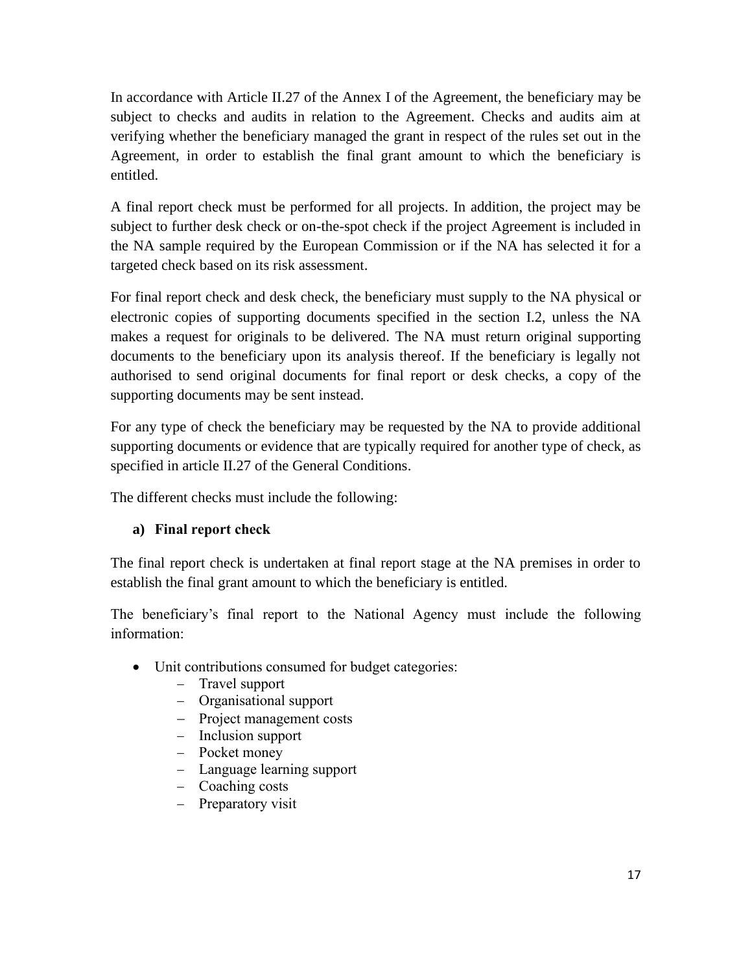In accordance with Article II.27 of the Annex I of the Agreement, the beneficiary may be subject to checks and audits in relation to the Agreement. Checks and audits aim at verifying whether the beneficiary managed the grant in respect of the rules set out in the Agreement, in order to establish the final grant amount to which the beneficiary is entitled.

A final report check must be performed for all projects. In addition, the project may be subject to further desk check or on-the-spot check if the project Agreement is included in the NA sample required by the European Commission or if the NA has selected it for a targeted check based on its risk assessment.

For final report check and desk check, the beneficiary must supply to the NA physical or electronic copies of supporting documents specified in the section I.2, unless the NA makes a request for originals to be delivered. The NA must return original supporting documents to the beneficiary upon its analysis thereof. If the beneficiary is legally not authorised to send original documents for final report or desk checks, a copy of the supporting documents may be sent instead.

For any type of check the beneficiary may be requested by the NA to provide additional supporting documents or evidence that are typically required for another type of check, as specified in article II.27 of the General Conditions.

The different checks must include the following:

## **a) Final report check**

The final report check is undertaken at final report stage at the NA premises in order to establish the final grant amount to which the beneficiary is entitled.

The beneficiary's final report to the National Agency must include the following information:

- Unit contributions consumed for budget categories:
	- − Travel support
	- − Organisational support
	- − Project management costs
	- − Inclusion support
	- − Pocket money
	- − Language learning support
	- − Coaching costs
	- − Preparatory visit